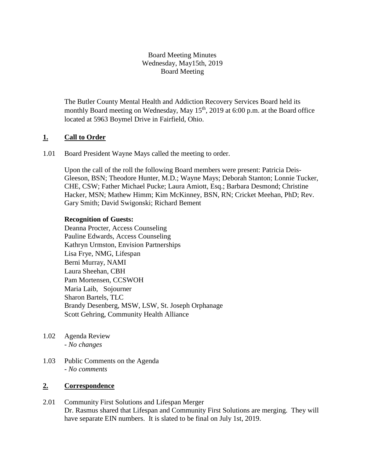# Board Meeting Minutes Wednesday, May15th, 2019 Board Meeting

The Butler County Mental Health and Addiction Recovery Services Board held its monthly Board meeting on Wednesday, May 15<sup>th</sup>, 2019 at 6:00 p.m. at the Board office located at 5963 Boymel Drive in Fairfield, Ohio.

# **1. Call to Order**

1.01 Board President Wayne Mays called the meeting to order.

Upon the call of the roll the following Board members were present: Patricia Deis-Gleeson, BSN; Theodore Hunter, M.D.; Wayne Mays; Deborah Stanton; Lonnie Tucker, CHE, CSW; Father Michael Pucke; Laura Amiott, Esq.; Barbara Desmond; Christine Hacker, MSN; Mathew Himm; Kim McKinney, BSN, RN; Cricket Meehan, PhD; Rev. Gary Smith; David Swigonski; Richard Bement

### **Recognition of Guests:**

Deanna Procter, Access Counseling Pauline Edwards, Access Counseling Kathryn Urmston, Envision Partnerships Lisa Frye, NMG, Lifespan Berni Murray, NAMI Laura Sheehan, CBH Pam Mortensen, CCSWOH Maria Laib, Sojourner Sharon Bartels, TLC Brandy Desenberg, MSW, LSW, St. Joseph Orphanage Scott Gehring, Community Health Alliance

- 1.02 Agenda Review *- No changes*
- 1.03 Public Comments on the Agenda - *No comments*

# **2. Correspondence**

2.01 Community First Solutions and Lifespan Merger Dr. Rasmus shared that Lifespan and Community First Solutions are merging. They will have separate EIN numbers. It is slated to be final on July 1st, 2019.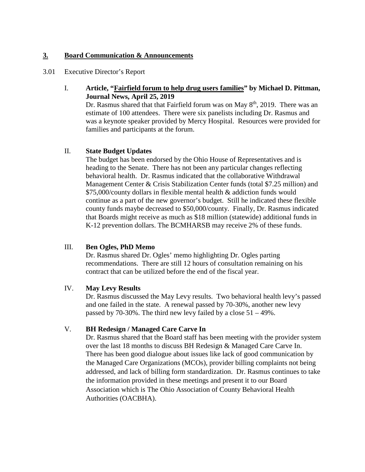### **3. Board Communication & Announcements**

3.01 Executive Director's Report

# I. **Article, "Fairfield forum to help drug users families" by Michael D. Pittman, Journal News, April 25, 2019**

Dr. Rasmus shared that that Fairfield forum was on May 8<sup>th</sup>, 2019. There was an estimate of 100 attendees. There were six panelists including Dr. Rasmus and was a keynote speaker provided by Mercy Hospital. Resources were provided for families and participants at the forum.

### II. **State Budget Updates**

The budget has been endorsed by the Ohio House of Representatives and is heading to the Senate. There has not been any particular changes reflecting behavioral health. Dr. Rasmus indicated that the collaborative Withdrawal Management Center & Crisis Stabilization Center funds (total \$7.25 million) and \$75,000/county dollars in flexible mental health & addiction funds would continue as a part of the new governor's budget. Still he indicated these flexible county funds maybe decreased to \$50,000/county. Finally, Dr. Rasmus indicated that Boards might receive as much as \$18 million (statewide) additional funds in K-12 prevention dollars. The BCMHARSB may receive 2% of these funds.

# III. **Ben Ogles, PhD Memo**

Dr. Rasmus shared Dr. Ogles' memo highlighting Dr. Ogles parting recommendations. There are still 12 hours of consultation remaining on his contract that can be utilized before the end of the fiscal year.

# IV. **May Levy Results**

Dr. Rasmus discussed the May Levy results. Two behavioral health levy's passed and one failed in the state. A renewal passed by 70-30%, another new levy passed by 70-30%. The third new levy failed by a close 51 – 49%.

# V. **BH Redesign / Managed Care Carve In**

Dr. Rasmus shared that the Board staff has been meeting with the provider system over the last 18 months to discuss BH Redesign & Managed Care Carve In. There has been good dialogue about issues like lack of good communication by the Managed Care Organizations (MCOs), provider billing complaints not being addressed, and lack of billing form standardization. Dr. Rasmus continues to take the information provided in these meetings and present it to our Board Association which is The Ohio Association of County Behavioral Health Authorities (OACBHA).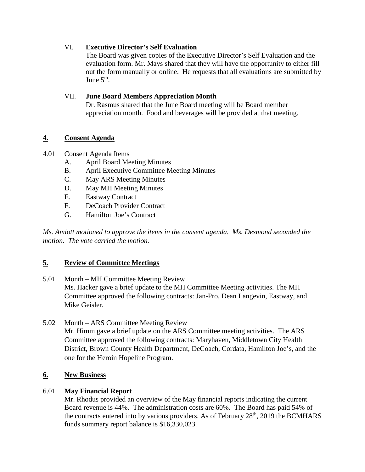# VI. **Executive Director's Self Evaluation**

The Board was given copies of the Executive Director's Self Evaluation and the evaluation form. Mr. Mays shared that they will have the opportunity to either fill out the form manually or online. He requests that all evaluations are submitted by June  $5<sup>th</sup>$ .

### VII. **June Board Members Appreciation Month**

Dr. Rasmus shared that the June Board meeting will be Board member appreciation month. Food and beverages will be provided at that meeting.

# **4. Consent Agenda**

- 4.01 Consent Agenda Items
	- A. April Board Meeting Minutes
	- B. April Executive Committee Meeting Minutes
	- C. May ARS Meeting Minutes
	- D. May MH Meeting Minutes
	- E. Eastway Contract
	- F. DeCoach Provider Contract
	- G. Hamilton Joe's Contract

*Ms. Amiott motioned to approve the items in the consent agenda. Ms. Desmond seconded the motion. The vote carried the motion.*

# **5. Review of Committee Meetings**

- 5.01 Month MH Committee Meeting Review Ms. Hacker gave a brief update to the MH Committee Meeting activities. The MH Committee approved the following contracts: Jan-Pro, Dean Langevin, Eastway, and Mike Geisler.
- 5.02 Month ARS Committee Meeting Review Mr. Himm gave a brief update on the ARS Committee meeting activities. The ARS Committee approved the following contracts: Maryhaven, Middletown City Health District, Brown County Health Department, DeCoach, Cordata, Hamilton Joe's, and the one for the Heroin Hopeline Program.

# **6. New Business**

# 6.01 **May Financial Report**

Mr. Rhodus provided an overview of the May financial reports indicating the current Board revenue is 44%. The administration costs are 60%. The Board has paid 54% of the contracts entered into by various providers. As of February 28<sup>th</sup>, 2019 the BCMHARS funds summary report balance is \$16,330,023.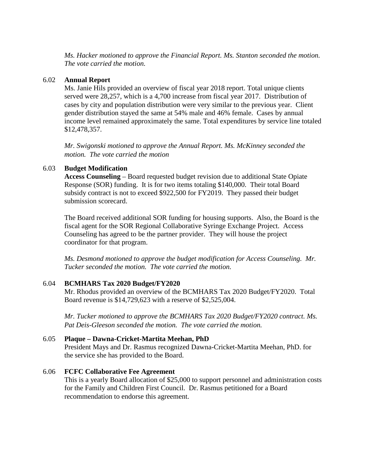*Ms. Hacker motioned to approve the Financial Report. Ms. Stanton seconded the motion. The vote carried the motion.*

### 6.02 **Annual Report**

Ms. Janie Hils provided an overview of fiscal year 2018 report. Total unique clients served were 28,257, which is a 4,700 increase from fiscal year 2017. Distribution of cases by city and population distribution were very similar to the previous year. Client gender distribution stayed the same at 54% male and 46% female. Cases by annual income level remained approximately the same. Total expenditures by service line totaled \$12,478,357.

*Mr. Swigonski motioned to approve the Annual Report. Ms. McKinney seconded the motion. The vote carried the motion*

### 6.03 **Budget Modification**

**Access Counseling** – Board requested budget revision due to additional State Opiate Response (SOR) funding. It is for two items totaling \$140,000. Their total Board subsidy contract is not to exceed \$922,500 for FY2019. They passed their budget submission scorecard.

The Board received additional SOR funding for housing supports. Also, the Board is the fiscal agent for the SOR Regional Collaborative Syringe Exchange Project. Access Counseling has agreed to be the partner provider. They will house the project coordinator for that program.

*Ms. Desmond motioned to approve the budget modification for Access Counseling. Mr. Tucker seconded the motion. The vote carried the motion.* 

# 6.04 **BCMHARS Tax 2020 Budget/FY2020**

Mr. Rhodus provided an overview of the BCMHARS Tax 2020 Budget/FY2020. Total Board revenue is \$14,729,623 with a reserve of \$2,525,004.

*Mr. Tucker motioned to approve the BCMHARS Tax 2020 Budget/FY2020 contract. Ms. Pat Deis-Gleeson seconded the motion. The vote carried the motion.*

# 6.05 **Plaque – Dawna-Cricket-Martita Meehan, PhD**

President Mays and Dr. Rasmus recognized Dawna-Cricket-Martita Meehan, PhD. for the service she has provided to the Board.

### 6.06 **FCFC Collaborative Fee Agreement**

This is a yearly Board allocation of \$25,000 to support personnel and administration costs for the Family and Children First Council. Dr. Rasmus petitioned for a Board recommendation to endorse this agreement.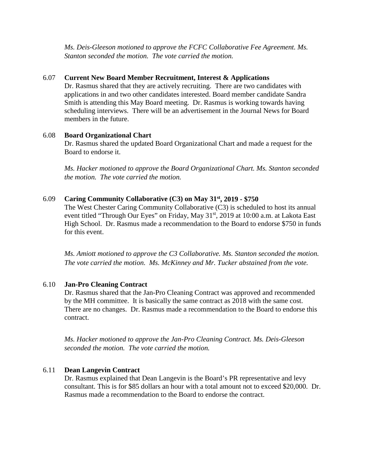*Ms. Deis-Gleeson motioned to approve the FCFC Collaborative Fee Agreement. Ms. Stanton seconded the motion. The vote carried the motion.*

#### 6.07 **Current New Board Member Recruitment, Interest & Applications**

Dr. Rasmus shared that they are actively recruiting. There are two candidates with applications in and two other candidates interested. Board member candidate Sandra Smith is attending this May Board meeting. Dr. Rasmus is working towards having scheduling interviews. There will be an advertisement in the Journal News for Board members in the future.

### 6.08 **Board Organizational Chart**

Dr. Rasmus shared the updated Board Organizational Chart and made a request for the Board to endorse it.

*Ms. Hacker motioned to approve the Board Organizational Chart. Ms. Stanton seconded the motion. The vote carried the motion.*

#### 6.09 **Caring Community Collaborative (C3) on May 31st, 2019 - \$750**

The West Chester Caring Community Collaborative (C3) is scheduled to host its annual event titled "Through Our Eyes" on Friday, May 31<sup>st</sup>, 2019 at 10:00 a.m. at Lakota East High School. Dr. Rasmus made a recommendation to the Board to endorse \$750 in funds for this event.

*Ms. Amiott motioned to approve the C3 Collaborative. Ms. Stanton seconded the motion. The vote carried the motion. Ms. McKinney and Mr. Tucker abstained from the vote.*

#### 6.10 **Jan-Pro Cleaning Contract**

Dr. Rasmus shared that the Jan-Pro Cleaning Contract was approved and recommended by the MH committee. It is basically the same contract as 2018 with the same cost. There are no changes. Dr. Rasmus made a recommendation to the Board to endorse this contract.

*Ms. Hacker motioned to approve the Jan-Pro Cleaning Contract. Ms. Deis-Gleeson seconded the motion. The vote carried the motion.*

#### 6.11 **Dean Langevin Contract**

Dr. Rasmus explained that Dean Langevin is the Board's PR representative and levy consultant. This is for \$85 dollars an hour with a total amount not to exceed \$20,000. Dr. Rasmus made a recommendation to the Board to endorse the contract.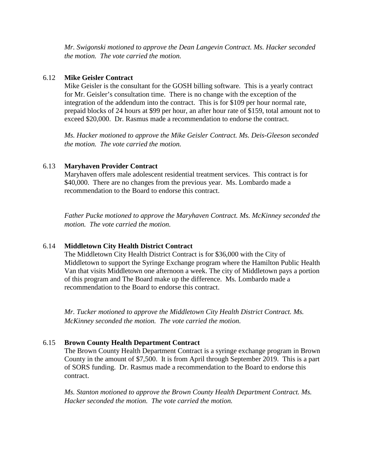*Mr. Swigonski motioned to approve the Dean Langevin Contract. Ms. Hacker seconded the motion. The vote carried the motion.*

### 6.12 **Mike Geisler Contract**

Mike Geisler is the consultant for the GOSH billing software. This is a yearly contract for Mr. Geisler's consultation time. There is no change with the exception of the integration of the addendum into the contract. This is for \$109 per hour normal rate, prepaid blocks of 24 hours at \$99 per hour, an after hour rate of \$159, total amount not to exceed \$20,000. Dr. Rasmus made a recommendation to endorse the contract.

*Ms. Hacker motioned to approve the Mike Geisler Contract. Ms. Deis-Gleeson seconded the motion. The vote carried the motion.*

### 6.13 **Maryhaven Provider Contract**

Maryhaven offers male adolescent residential treatment services. This contract is for \$40,000. There are no changes from the previous year. Ms. Lombardo made a recommendation to the Board to endorse this contract.

*Father Pucke motioned to approve the Maryhaven Contract. Ms. McKinney seconded the motion. The vote carried the motion.*

### 6.14 **Middletown City Health District Contract**

The Middletown City Health District Contract is for \$36,000 with the City of Middletown to support the Syringe Exchange program where the Hamilton Public Health Van that visits Middletown one afternoon a week. The city of Middletown pays a portion of this program and The Board make up the difference. Ms. Lombardo made a recommendation to the Board to endorse this contract.

*Mr. Tucker motioned to approve the Middletown City Health District Contract. Ms. McKinney seconded the motion. The vote carried the motion.*

# 6.15 **Brown County Health Department Contract**

The Brown County Health Department Contract is a syringe exchange program in Brown County in the amount of \$7,500. It is from April through September 2019. This is a part of SORS funding. Dr. Rasmus made a recommendation to the Board to endorse this contract.

*Ms. Stanton motioned to approve the Brown County Health Department Contract. Ms. Hacker seconded the motion. The vote carried the motion.*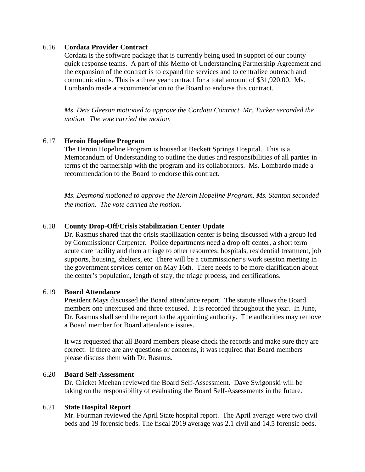#### 6.16 **Cordata Provider Contract**

Cordata is the software package that is currently being used in support of our county quick response teams. A part of this Memo of Understanding Partnership Agreement and the expansion of the contract is to expand the services and to centralize outreach and communications. This is a three year contract for a total amount of \$31,920.00. Ms. Lombardo made a recommendation to the Board to endorse this contract.

*Ms. Deis Gleeson motioned to approve the Cordata Contract. Mr. Tucker seconded the motion. The vote carried the motion.*

### 6.17 **Heroin Hopeline Program**

The Heroin Hopeline Program is housed at Beckett Springs Hospital. This is a Memorandum of Understanding to outline the duties and responsibilities of all parties in terms of the partnership with the program and its collaborators. Ms. Lombardo made a recommendation to the Board to endorse this contract.

*Ms. Desmond motioned to approve the Heroin Hopeline Program. Ms. Stanton seconded the motion. The vote carried the motion.*

### 6.18 **County Drop-Off/Crisis Stabilization Center Update**

Dr. Rasmus shared that the crisis stabilization center is being discussed with a group led by Commissioner Carpenter. Police departments need a drop off center, a short term acute care facility and then a triage to other resources: hospitals, residential treatment, job supports, housing, shelters, etc. There will be a commissioner's work session meeting in the government services center on May 16th. There needs to be more clarification about the center's population, length of stay, the triage process, and certifications.

### 6.19 **Board Attendance**

President Mays discussed the Board attendance report. The statute allows the Board members one unexcused and three excused. It is recorded throughout the year. In June, Dr. Rasmus shall send the report to the appointing authority. The authorities may remove a Board member for Board attendance issues.

It was requested that all Board members please check the records and make sure they are correct. If there are any questions or concerns, it was required that Board members please discuss them with Dr. Rasmus.

#### 6.20 **Board Self-Assessment**

Dr. Cricket Meehan reviewed the Board Self-Assessment. Dave Swigonski will be taking on the responsibility of evaluating the Board Self-Assessments in the future.

### 6.21 **State Hospital Report**

Mr. Fourman reviewed the April State hospital report. The April average were two civil beds and 19 forensic beds. The fiscal 2019 average was 2.1 civil and 14.5 forensic beds.